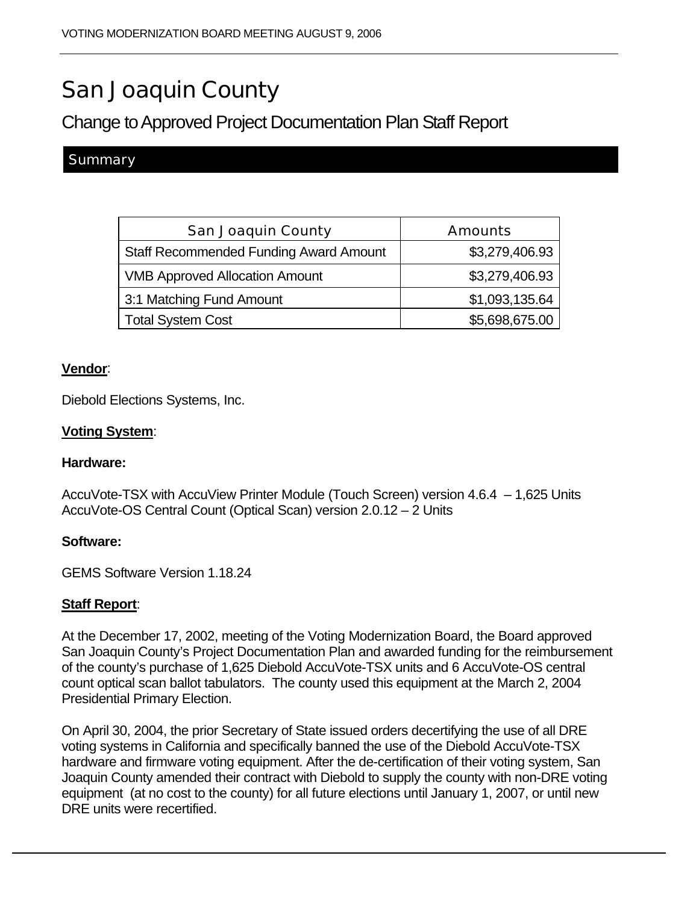# San Joaquin County

# Change to Approved Project Documentation Plan Staff Report

# **Summary**

| <b>San Joaquin County</b>                     | <b>Amounts</b> |
|-----------------------------------------------|----------------|
| <b>Staff Recommended Funding Award Amount</b> | \$3,279,406.93 |
| <b>VMB Approved Allocation Amount</b>         | \$3,279,406.93 |
| 3:1 Matching Fund Amount                      | \$1,093,135.64 |
| <b>Total System Cost</b>                      | \$5,698,675.00 |

#### **Vendor**:

Diebold Elections Systems, Inc.

# **Voting System**:

#### **Hardware:**

AccuVote-TSX with AccuView Printer Module (Touch Screen) version 4.6.4 – 1,625 Units AccuVote-OS Central Count (Optical Scan) version 2.0.12 – 2 Units

#### **Software:**

GEMS Software Version 1.18.24

# **Staff Report**:

At the December 17, 2002, meeting of the Voting Modernization Board, the Board approved San Joaquin County's Project Documentation Plan and awarded funding for the reimbursement of the county's purchase of 1,625 Diebold AccuVote-TSX units and 6 AccuVote-OS central count optical scan ballot tabulators. The county used this equipment at the March 2, 2004 Presidential Primary Election.

On April 30, 2004, the prior Secretary of State issued orders decertifying the use of all DRE voting systems in California and specifically banned the use of the Diebold AccuVote-TSX hardware and firmware voting equipment. After the de-certification of their voting system, San Joaquin County amended their contract with Diebold to supply the county with non-DRE voting equipment (at no cost to the county) for all future elections until January 1, 2007, or until new DRE units were recertified.